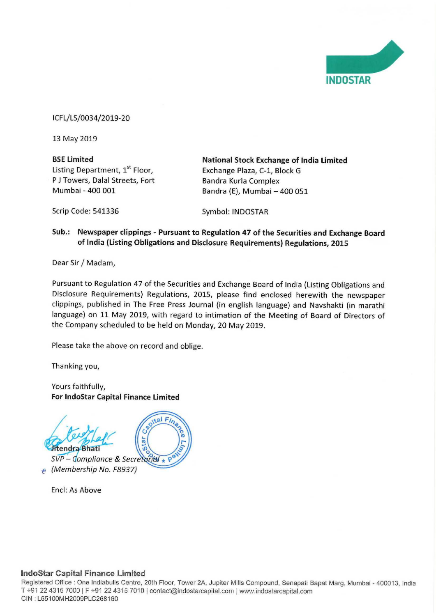

ICFL/LS/0034/2019-20

13 May 2019

P J Towers, Dalal Streets, Fort Mumbai - 400 001

**BSE Limited Constrained Constrainer Stock Exchange of India Limited Listing Department, 1st Floor, Constrainer** Exchange Plaza, C-1, Block G Exchange Plaza, C-1, Block G<br>Bandra Kurla Complex Bandra (E), Mumbai - 400 051

Scrip Code: 541336 Symbol: INDOSTAR

## Sub.: Newspaper clippings - Pursuant to Regulation 47 of the Securities and Exchange Board of India (Listing Obligations and Disclosure Requirements) Regulations, <sup>2015</sup>

Dear Sir/ Madam,

Pursuant to Regulation <sup>47</sup> of the Securities and Exchange Board of lndia (Listing Obligations and Disclosure Requirements) Regulations, 2015, please find enclosed herewith the newspaper clippings, published in The Free Press Journal (in english language) and Navshakti (in marathi language) on <sup>11</sup> May 2019, with regard to intimation of the Meeting of Board of Directors of the Company scheduled to be held on Monday, 20 May 2019.

Please take the above on record and oblige.

Thanking you,

Yours faithfully, For IndoStar Capital Finance Limited



 $SVP -$  Compliance & Secretarial  $\star$ 6 (Membership No. F8937)

Encl: As Above

## IndoStar Capital Finance Limited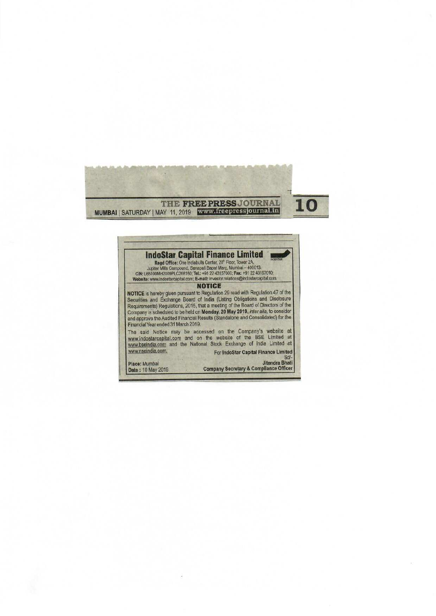



Place: Mumbai Date: 10 May 2019 -Uitendra Bhati<br>Company Secretary & Compliance Officer